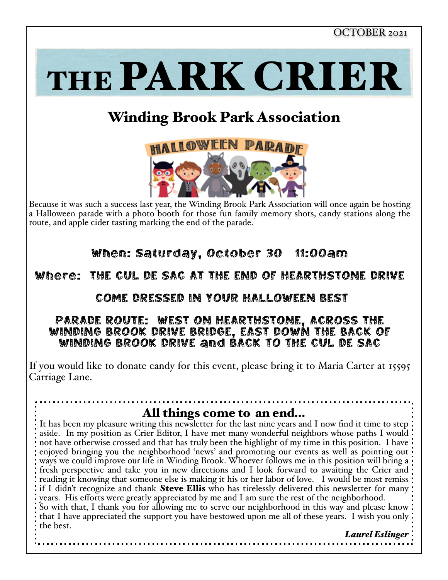THE PARK CRIER

# Winding Brook Park Association



Because it was such a success last year, the Winding Brook Park Association will once again be hosting a Halloween parade with a photo booth for those fun family memory shots, candy stations along the route, and apple cider tasting marking the end of the parade.

# When: Saturday, October 30 11:00am

### Where: THE CUL DE SAC AT THE END OF HEARTHSTONE DRIVE

#### COME DRESSED IN YOUR HALLOWEEN BEST

#### PARADE ROUTE: WEST ON HEARTHSTONE, ACROSS THE WINDING BROOK DRIVE BRIDGE, EAST DOWN THE BACK OF WINDING BROOK DRIVE and BACK TO THE CUL DE SAC

If you would like to donate candy for this event, please bring it to Maria Carter at 15595 Carriage Lane.

### All things come to an end…

It has been my pleasure writing this newsletter for the last nine years and I now find it time to step. aside. In my position as Crier Editor, I have met many wonderful neighbors whose paths I would not have otherwise crossed and that has truly been the highlight of my time in this position. I have enjoyed bringing you the neighborhood 'news' and promoting our events as well as pointing out ways we could improve our life in Winding Brook. Whoever follows me in this position will bring a fresh perspective and take you in new directions and I look forward to awaiting the Crier and reading it knowing that someone else is making it his or her labor of love. I would be most remiss if I didn't recognize and thank **Steve Ellis** who has tirelessly delivered this newsletter for many: years. His efforts were greatly appreciated by me and I am sure the rest of the neighborhood. So with that, I thank you for allowing me to serve our neighborhood in this way and please know that I have appreciated the support you have bestowed upon me all of these years. I wish you only the best.

 *Laurel Eslinger*